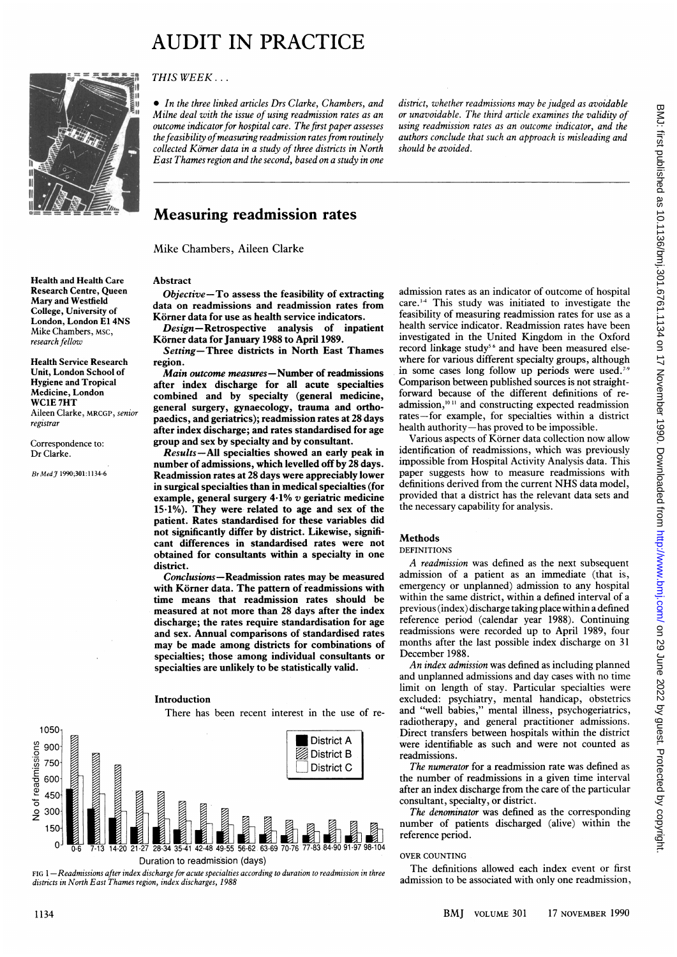# AUDIT IN PRACTICE



London, London E1 4NS<br>Mike Chambers, MSC,

Health Service Research

THIS WEEK ...

• In the three linked articles Drs Clarke, Chambers, and Milne deal with the issue of using readmission rates as an outcome indicator for hospital care. The first paper assesses the feasibility of measuring readmission rates from routinely  $collected K\ddot{o}$ rner data in a study of three districts in North East Thames region and the second, based on a study in one

district, whether readmissions may be judged as avoidable or unavoidable. The third article examines the validity of using readmission rates as an outcome indicator, and the authors conclude that such an approach is misleading and should be avoided.

### Measuring readmission rates

Mike Chambers, Aileen Clarke

## Health and Health Care<br>Research Centre, Queen<br>Chiect

Research Centre, Queen Objective-To assess the feasibility of extracting<br>Mary and Westfield Mary and westhed<br>College, University of the data on readmissions and readmission rates from<br>College, University of the Körner data for use as health service indicators.

EXERCITY EXAMONIC EXTRESS ENGINEERT AND EXAMONIC DESCRIPTION OF SURFERING CHAMBERS, MSC,<br>
Mike Chambers, MSC,<br>
Körner data for January 1988 to April 1989. Körner data for January 1988 to April 1989.

Setting-Three districts in North East Thames<br>region.

Unit, London School of *Main outcome measures*—Number of readmissions<br>Hygiene and Tropical **of the set of the action of the anti-**Hygiene and Tropical after index discharge for all acute specialties<br>Medicine, London combined and by specialty (general medicine Medicine, London combined and by specialty (general medicine,<br>WC1E 7HT contract the contract of the contract of the contract of the contract of the contract of the contract of the contract of the contract of the contract o WCIE 7HT<br>Aileen Clarke, MRCGP, senior general surgery, gynaecology, trauma and ortho-<br>Aileen Clarke, MRCGP, senior general series and positivities), modernizednesses at 28 days Rifeen Clarke, MRCGP, Sentor<br>registrar paedics, and geriatrics); readmission rates at 28 days after index discharge; and rates standardised for age Correspondence to: group and sex by specialty and by consultant.<br>Dr Clarke. Results — All specialties showed an early pre-

Results-All specialties showed an early peak in number of admissions, which levelled off by 28 days. Br Med J 1990;301:1134-6 Readmission rates at 28 days were appreciably lower in surgical specialties than in medical specialties (for example, general surgery  $4.1\%$  v geriatric medicine 15-1%). They were related to age and sex of the patient. Rates standardised for these variables did not significantly differ by district. Likewise, significant differences in standardised rates were not obtained for consultants within a specialty in one district.

> Conclusions-Readmission rates may be measured with Körner data. The pattern of readmissions with time means that readmission rates should be measured at not more than 28 days after the index discharge; the rates require standardisation for age and sex. Annual comparisons of standardised rates may be made among districts for combinations of specialties; those among individual consultants or specialties are unlikely to be statistically valid.

#### Introduction

There has been recent interest in the use of re-



FIG 1-Readmissions after index discharge for acute specialties according to duration to readmission in three districts in North East Thames region, index discharges, 1988

admission rates as an indicator of outcome of hospital care. <sup>14</sup> This study was initiated to investigate the feasibility of measuring readmission rates for use as a health service indicator. Readmission rates have been investigated in the United Kingdom in the Oxford record linkage study<sup>56</sup> and have been measured elsewhere for various different specialty groups, although in some cases long follow up periods were used.<sup>7-</sup> Comparison between published sources is not straightforward because of the different definitions of readmission,<sup>1011</sup> and constructing expected readmission rates-for example, for specialties within a district health authority-has proved to be impossible.

Various aspects of Korner data collection now allow identification of readmissions, which was previously impossible from Hospital Activity Analysis data. This paper suggests how to measure readmissions with definitions derived from the current NHS data model, provided that <sup>a</sup> district has the relevant data sets and the necessary capability for analysis.

#### Methods

#### DEFINITIONS

A readmission was defined as the next subsequent admission of a patient as an immediate (that is, emergency or unplanned) admission to any hospital within the same district, within a defined interval of a previous (index) discharge taking place within a defined reference period (calendar year 1988). Continuing readmissions were recorded up to April 1989, four months after the last possible index discharge on 31 December 1988.

An index admission was defined as including planned and unplanned admissions and day cases with no time limit on length of stay. Particular specialties were excluded: psychiatry, mental handicap, obstetrics and "well babies," mental illness, psychogeriatrics, radiotherapy, and general practitioner admissions. Direct transfers between hospitals within the district were identifiable as such and were not counted as readmissions.

The numerator for a readmission rate was defined as the number of readmissions in <sup>a</sup> given time interval after an index discharge from the care of the particular consultant, specialty, or district.

The denominator was defined as the corresponding number of patients discharged (alive) within the reference period.

#### OVER COUNTING

The definitions allowed each index event or first admission to be associated with only one readmission,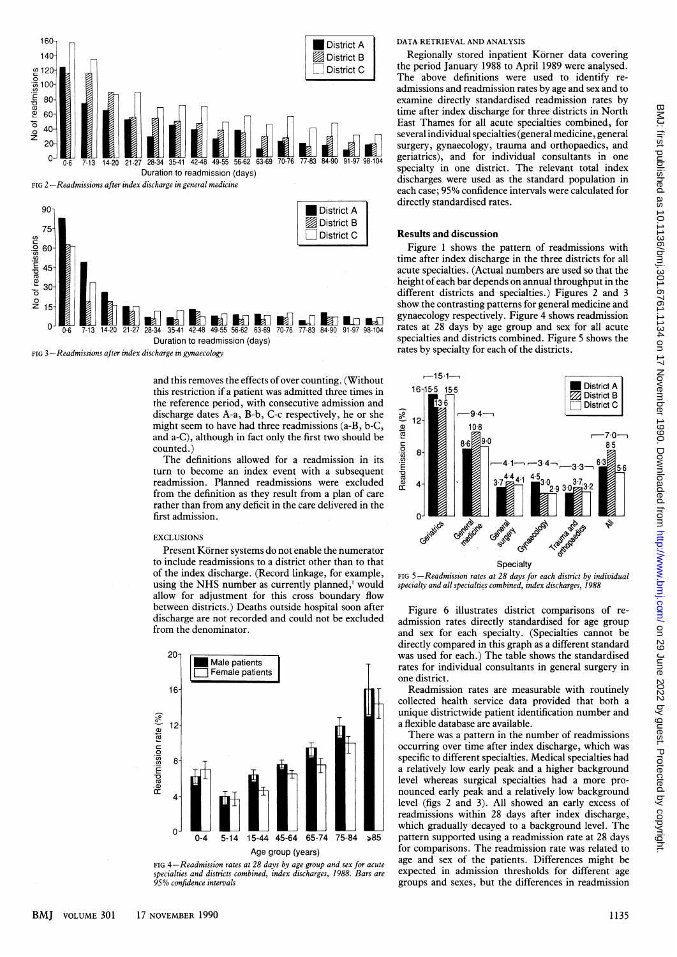

Duration to readmission (days) FIG 3-Readmissions after index discharge in gynaecology

and this removes the effects of over counting. (Without this restriction if a patient was admitted three times in the reference period, with consecutive admission and discharge dates A-a, B-b, C-c respectively, he or she might seem to have had three readmissions (a-B, b-C, and a-C), although in fact only the first two should be counted.)

The definitions allowed for a readmission in its turn to become an index event with a subsequent readmission. Planned readmissions were excluded from the definition as they result from a plan of care rather than from any deficit in the care delivered in the first admission.

#### **EXCLUSIONS**

Present Körner systems do not enable the numerator to include readmissions to a district other than to that of the index discharge. (Record linkage, for example, using the NHS number as currently planned,' would allow for adjustment for this cross boundary flow between districts.) Deaths outside hospital soon after discharge are not recorded and could not be excluded from the denominator.





#### DATA RETRIEVAL AND ANALYSIS

Regionally stored inpatient Körner data covering the period January 1988 to April 1989 were analysed. The above definitions were used to identify readmissions and readmission rates by age and sex and to examine directly standardised readmission rates by time after index discharge for three districts in North East Thames for all acute specialties combined, for several individual specialties (general medicine, general surgery, gynaecology, trauma and orthopaedics, and geriatrics), and for individual consultants in one specialty in one district. The relevant total index discharges were used as the standard population in each case; 95% confidence intervals were calculated for directly standardised rates.

#### Results-and discussion

Figure <sup>1</sup> shows the pattern of readmissions with time after index discharge in the three districts for all acute specialties. (Actual numbers are used so that the height of each bar depends on annual throughput in the different districts and specialties.) Figures 2 and 3 show the contrasting patterns for general medicine and gynaecology respectively. Figure 4 shows readmission rates at 28 days by age group and sex for all acute specialties and districts combined. Figure 5 shows the rates by specialty for each of the districts.



FIG  $5 - Readmission$  rates at 28 days for each district by individual specialty and all specialties combined, index discharges, 1988

Figure 6 illustrates district comparisons of readmission rates directly standardised for age group and sex for each specialty. (Specialties cannot be directly compared in this graph as a different standard was used for each.) The table shows the standardised rates for individual consultants in general surgery in one district.

Readmission rates are measurable with routinely collected health service data provided that both a unique districtwide patient identification number and a flexible database are available.

There was a pattern in the number of readmissions occurring over time after index discharge, which was specific to different specialties. Medical specialties had a relatively low early peak and a higher background level whereas surgical specialties had a more pronounced early peak and a relatively low background level (figs 2 and 3). All showed an early excess of readmissions within 28 days after index discharge, which gradually decayed to <sup>a</sup> background level. The pattern supported using a readmission rate at 28 days for comparisons. The readmission rate was related to age and sex of the patients. Differences might be expected in admission thresholds for different age groups and sexes, but the differences in readmission